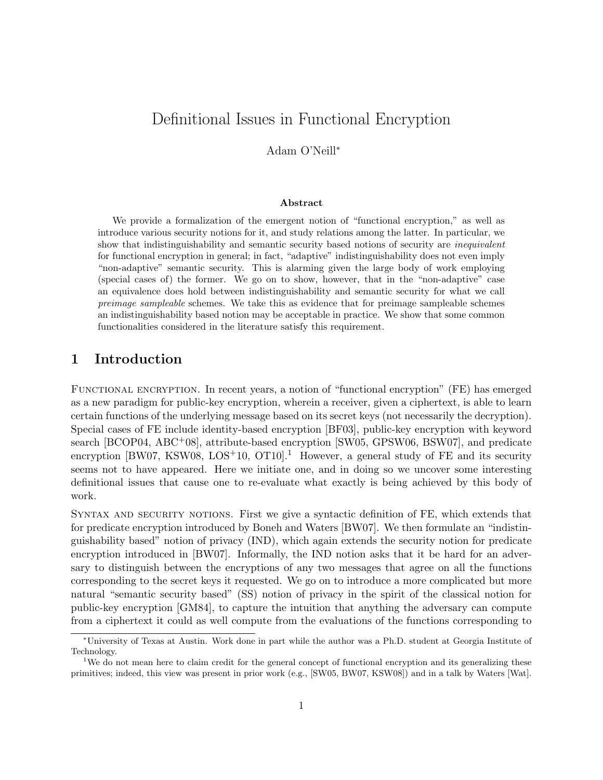# Definitional Issues in Functional Encryption

Adam O'Neill*<sup>∗</sup>*

#### **Abstract**

We provide a formalization of the emergent notion of "functional encryption," as well as introduce various security notions for it, and study relations among the latter. In particular, we show that indistinguishability and semantic security based notions of security are *inequivalent* for functional encryption in general; in fact, "adaptive" indistinguishability does not even imply "non-adaptive" semantic security. This is alarming given the large body of work employing (special cases of) the former. We go on to show, however, that in the "non-adaptive" case an equivalence does hold between indistinguishability and semantic security for what we call *preimage sampleable* schemes. We take this as evidence that for preimage sampleable schemes an indistinguishability based notion may be acceptable in practice. We show that some common functionalities considered in the literature satisfy this requirement.

## **1 Introduction**

FUNCTIONAL ENCRYPTION. In recent years, a notion of "functional encryption" (FE) has emerged as a new paradigm for public-key encryption, wherein a receiver, given a ciphertext, is able to learn certain functions of the underlying message based on its secret keys (not necessarily the decryption). Special cases of FE include identity-based encryption [BF03], public-key encryption with keyword search [BCOP04, ABC<sup>+</sup>08], attribute-based encryption [SW05, GPSW06, BSW07], and predicate encryption [BW07, KSW08, LOS<sup>+</sup>10, OT10].<sup>1</sup> However, a general study of FE and its security seems not to have appeared. Here we initiate one, and in doing so we uncover some interesting definitional issues that cause one to re-evaluate what exactly is being achieved by this body of work.

SYNTAX AND SECURITY NOTIONS. First we give a syntactic definition of FE, which extends that for predicate encryption introduced by Boneh and Waters [BW07]. We then formulate an "indistinguishability based" notion of privacy (IND), which again extends the security notion for predicate encryption introduced in [BW07]. Informally, the IND notion asks that it be hard for an adversary to distinguish between the encryptions of any two messages that agree on all the functions corresponding to the secret keys it requested. We go on to introduce a more complicated but more natural "semantic security based" (SS) notion of privacy in the spirit of the classical notion for public-key encryption [GM84], to capture the intuition that anything the adversary can compute from a ciphertext it could as well compute from the evaluations of the functions corresponding to

*<sup>∗</sup>*University of Texas at Austin. Work done in part while the author was a Ph.D. student at Georgia Institute of Technology.

<sup>&</sup>lt;sup>1</sup>We do not mean here to claim credit for the general concept of functional encryption and its generalizing these primitives; indeed, this view was present in prior work (e.g., [SW05, BW07, KSW08]) and in a talk by Waters [Wat].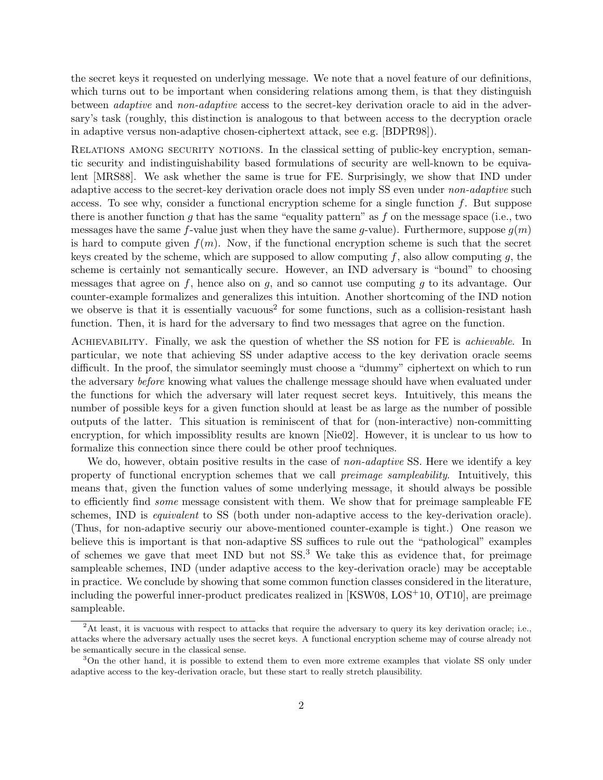the secret keys it requested on underlying message. We note that a novel feature of our definitions, which turns out to be important when considering relations among them, is that they distinguish between *adaptive* and *non-adaptive* access to the secret-key derivation oracle to aid in the adversary's task (roughly, this distinction is analogous to that between access to the decryption oracle in adaptive versus non-adaptive chosen-ciphertext attack, see e.g. [BDPR98]).

RELATIONS AMONG SECURITY NOTIONS. In the classical setting of public-key encryption, semantic security and indistinguishability based formulations of security are well-known to be equivalent [MRS88]. We ask whether the same is true for FE. Surprisingly, we show that IND under adaptive access to the secret-key derivation oracle does not imply SS even under *non-adaptive* such access. To see why, consider a functional encryption scheme for a single function *f*. But suppose there is another function *g* that has the same "equality pattern" as *f* on the message space (i.e., two messages have the same  $f$ -value just when they have the same  $g$ -value). Furthermore, suppose  $g(m)$ is hard to compute given  $f(m)$ . Now, if the functional encryption scheme is such that the secret keys created by the scheme, which are supposed to allow computing *f*, also allow computing *g*, the scheme is certainly not semantically secure. However, an IND adversary is "bound" to choosing messages that agree on *f*, hence also on *g*, and so cannot use computing *g* to its advantage. Our counter-example formalizes and generalizes this intuition. Another shortcoming of the IND notion we observe is that it is essentially vacuous<sup>2</sup> for some functions, such as a collision-resistant hash function. Then, it is hard for the adversary to find two messages that agree on the function.

Achievability. Finally, we ask the question of whether the SS notion for FE is *achievable*. In particular, we note that achieving SS under adaptive access to the key derivation oracle seems difficult. In the proof, the simulator seemingly must choose a "dummy" ciphertext on which to run the adversary *before* knowing what values the challenge message should have when evaluated under the functions for which the adversary will later request secret keys. Intuitively, this means the number of possible keys for a given function should at least be as large as the number of possible outputs of the latter. This situation is reminiscent of that for (non-interactive) non-committing encryption, for which impossiblity results are known [Nie02]. However, it is unclear to us how to formalize this connection since there could be other proof techniques.

We do, however, obtain positive results in the case of *non-adaptive* SS. Here we identify a key property of functional encryption schemes that we call *preimage sampleability*. Intuitively, this means that, given the function values of some underlying message, it should always be possible to efficiently find *some* message consistent with them. We show that for preimage sampleable FE schemes, IND is *equivalent* to SS (both under non-adaptive access to the key-derivation oracle). (Thus, for non-adaptive securiy our above-mentioned counter-example is tight.) One reason we believe this is important is that non-adaptive SS suffices to rule out the "pathological" examples of schemes we gave that meet IND but not  $SS^3$ . We take this as evidence that, for preimage sampleable schemes, IND (under adaptive access to the key-derivation oracle) may be acceptable in practice. We conclude by showing that some common function classes considered in the literature, including the powerful inner-product predicates realized in [KSW08, LOS<sup>+</sup>10, OT10], are preimage sampleable.

<sup>&</sup>lt;sup>2</sup>At least, it is vacuous with respect to attacks that require the adversary to query its key derivation oracle; i.e., attacks where the adversary actually uses the secret keys. A functional encryption scheme may of course already not be semantically secure in the classical sense.

<sup>&</sup>lt;sup>3</sup>On the other hand, it is possible to extend them to even more extreme examples that violate SS only under adaptive access to the key-derivation oracle, but these start to really stretch plausibility.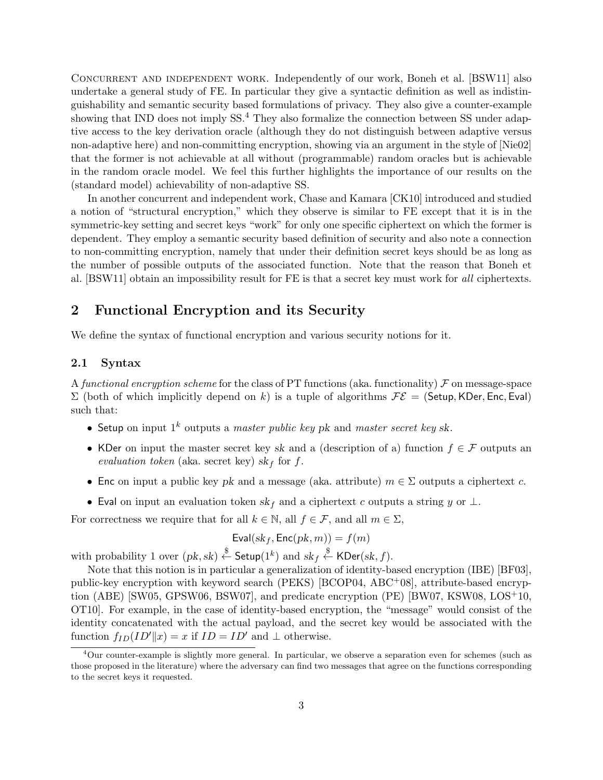CONCURRENT AND INDEPENDENT WORK. Independently of our work, Boneh et al. [BSW11] also undertake a general study of FE. In particular they give a syntactic definition as well as indistinguishability and semantic security based formulations of privacy. They also give a counter-example showing that IND does not imply  $SS^4$ . They also formalize the connection between SS under adaptive access to the key derivation oracle (although they do not distinguish between adaptive versus non-adaptive here) and non-committing encryption, showing via an argument in the style of [Nie02] that the former is not achievable at all without (programmable) random oracles but is achievable in the random oracle model. We feel this further highlights the importance of our results on the (standard model) achievability of non-adaptive SS.

In another concurrent and independent work, Chase and Kamara [CK10] introduced and studied a notion of "structural encryption," which they observe is similar to FE except that it is in the symmetric-key setting and secret keys "work" for only one specific ciphertext on which the former is dependent. They employ a semantic security based definition of security and also note a connection to non-committing encryption, namely that under their definition secret keys should be as long as the number of possible outputs of the associated function. Note that the reason that Boneh et al. [BSW11] obtain an impossibility result for FE is that a secret key must work for *all* ciphertexts.

# **2 Functional Encryption and its Security**

We define the syntax of functional encryption and various security notions for it.

#### **2.1 Syntax**

A *functional encryption scheme* for the class of PT functions (aka. functionality) *F* on message-space Σ (both of which implicitly depend on *k*) is a tuple of algorithms *FE* = (Setup*,*KDer*,* Enc*,* Eval) such that:

- *•* Setup on input 1*<sup>k</sup>* outputs a *master public key pk* and *master secret key sk*.
- *•* KDer on input the master secret key *sk* and a (description of a) function *f ∈ F* outputs an  $evaluation$  *token* (aka. secret key)  $sk_f$  for  $f$ .
- *•* Enc on input a public key *pk* and a message (aka. attribute) *m ∈* Σ outputs a ciphertext *c*.
- *•* Eval on input an evaluation token *sk<sup>f</sup>* and a ciphertext *c* outputs a string *y* or *⊥*.

For correctness we require that for all  $k \in \mathbb{N}$ , all  $f \in \mathcal{F}$ , and all  $m \in \Sigma$ ,

$$
\mathsf{Eval}(sk_f, \mathsf{Enc}(pk, m)) = f(m)
$$

with probability 1 over  $(pk, sk) \stackrel{\$}{\leftarrow}$  Setup(1<sup>k</sup>) and  $sk_f \stackrel{\$}{\leftarrow}$  KDer( $sk, f$ ).

Note that this notion is in particular a generalization of identity-based encryption (IBE) [BF03], public-key encryption with keyword search (PEKS) [BCOP04, ABC+08], attribute-based encryption (ABE) [SW05, GPSW06, BSW07], and predicate encryption (PE) [BW07, KSW08, LOS+10, OT10]. For example, in the case of identity-based encryption, the "message" would consist of the identity concatenated with the actual payload, and the secret key would be associated with the function  $f_{ID}(ID'|x) = x$  if  $ID = ID'$  and  $\perp$  otherwise.

<sup>4</sup>Our counter-example is slightly more general. In particular, we observe a separation even for schemes (such as those proposed in the literature) where the adversary can find two messages that agree on the functions corresponding to the secret keys it requested.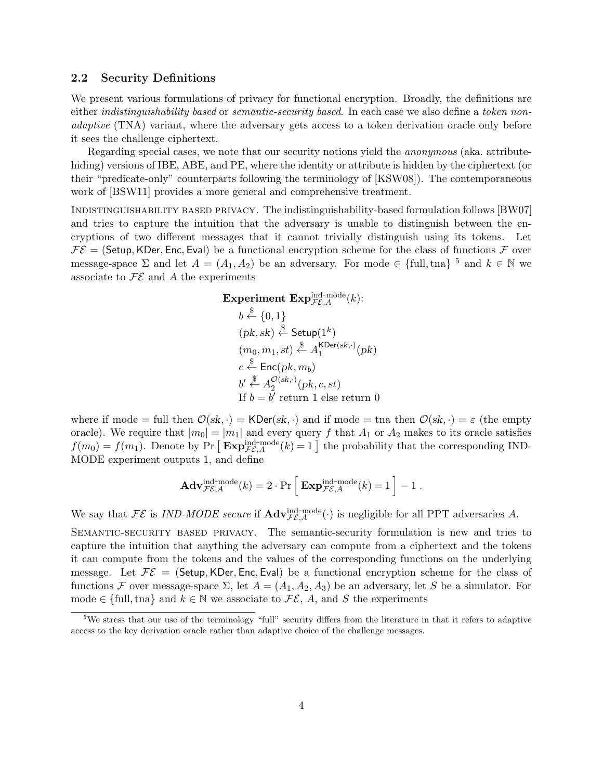#### **2.2 Security Definitions**

We present various formulations of privacy for functional encryption. Broadly, the definitions are either *indistinguishability based* or *semantic-security based*. In each case we also define a *token nonadaptive* (TNA) variant, where the adversary gets access to a token derivation oracle only before it sees the challenge ciphertext.

Regarding special cases, we note that our security notions yield the *anonymous* (aka. attributehiding) versions of IBE, ABE, and PE, where the identity or attribute is hidden by the ciphertext (or their "predicate-only" counterparts following the terminology of [KSW08]). The contemporaneous work of [BSW11] provides a more general and comprehensive treatment.

Indistinguishability based privacy. The indistinguishability-based formulation follows [BW07] and tries to capture the intuition that the adversary is unable to distinguish between the encryptions of two different messages that it cannot trivially distinguish using its tokens. Let  $\mathcal{FE} =$  (Setup, KDer, Enc, Eval) be a functional encryption scheme for the class of functions  $\mathcal F$  over message-space  $\Sigma$  and let  $A = (A_1, A_2)$  be an adversary. For mode  $\in \{\text{full}, \text{tna}\}\$ <sup>5</sup> and  $k \in \mathbb{N}$  we associate to  $\mathcal{FE}$  and  $\mathcal{A}$  the experiments

**Experiment Exp**<sub>FE,A</sub><sup>ind-mode</sup>(k):  
\n
$$
b \stackrel{\$}{\leftarrow} \{0, 1\}
$$
  
\n $(pk, sk) \stackrel{\$}{\leftarrow} \mathsf{Setup}(1^k)$   
\n $(m_0, m_1, st) \stackrel{\$}{\leftarrow} A_1^{\mathsf{KDer}(sk, \cdot)}(pk)$   
\n $c \stackrel{\$}{\leftarrow} \mathsf{Enc}(pk, m_b)$   
\n $b' \stackrel{\$}{\leftarrow} A_2^{\mathcal{O}(sk, \cdot)}(pk, c, st)$   
\nIf  $b = b'$  return 1 else return 0

where if mode = full then  $\mathcal{O}(sk, \cdot) = \text{KDer}(sk, \cdot)$  and if mode = tna then  $\mathcal{O}(sk, \cdot) = \varepsilon$  (the empty oracle). We require that  $|m_0| = |m_1|$  and every query f that  $A_1$  or  $A_2$  makes to its oracle satisfies  $f(m_0) = f(m_1)$ . Denote by Pr  $\left[$ **Exp** $\sum_{\mathcal{F}\in\mathcal{A}}^{ind-mode}(k) = 1 \right]$  the probability that the corresponding IND-MODE experiment outputs 1, and define

$$
\mathbf{Adv}_{\mathcal{FE},A}^{\text{ind-mode}}(k) = 2 \cdot \Pr \left[ \mathbf{Exp}_{\mathcal{FE},A}^{\text{ind-mode}}(k) = 1 \right] - 1.
$$

We say that  $\mathcal{FE}$  is *IND-MODE secure* if  $\mathbf{Adv}_{\mathcal{FE},A}^{\text{ind-mode}}(\cdot)$  is negligible for all PPT adversaries *A*.

Semantic-security based privacy. The semantic-security formulation is new and tries to capture the intuition that anything the adversary can compute from a ciphertext and the tokens it can compute from the tokens and the values of the corresponding functions on the underlying message. Let  $\mathcal{FE} = (\mathsf{Setup}, \mathsf{KDer}, \mathsf{Enc}, \mathsf{Eval})$  be a functional encryption scheme for the class of functions *F* over message-space  $\Sigma$ , let  $A = (A_1, A_2, A_3)$  be an adversary, let *S* be a simulator. For mode  $\in$  {full, tna} and  $k \in \mathbb{N}$  we associate to  $\mathcal{FE}$ , *A*, and *S* the experiments

<sup>&</sup>lt;sup>5</sup>We stress that our use of the terminology "full" security differs from the literature in that it refers to adaptive access to the key derivation oracle rather than adaptive choice of the challenge messages.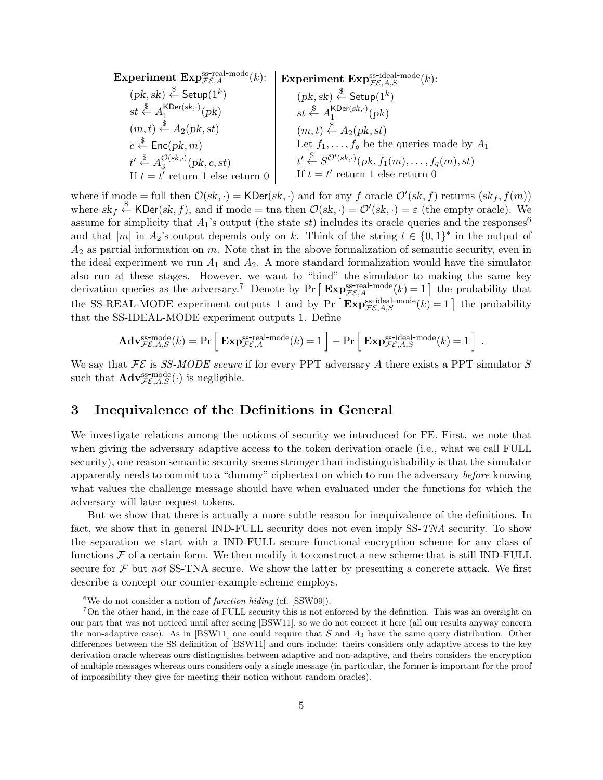Experiment  $\text{Exp}_{\mathcal{FE},A}^{\text{ss-real-mode}}(k)$ :  $(pk, sk) \overset{\$}{\leftarrow}$  Setup $(1^k)$  $st \overset{\$}{\leftarrow} A_1^{\text{KDer}(sk,\cdot)}(pk)$  $(m, t) \overset{\$}{\leftarrow} A_2(pk, st)$  $c \overset{\$}{\leftarrow} {\sf Enc}(pk, m)$  $t' \overset{\$}{\leftarrow} A_3^{\mathcal{O}(sk,\cdot)}(pk, c, st)$ If  $t = t'$  return 1 else return 0 Experiment  $\text{Exp}_{\mathcal{FE},A,S}^{\text{ss-ideal-mode}}(k)$ :  $(pk, sk) \overset{\$}{\leftarrow}$  Setup $(1^k)$  $st \overset{\$}{\leftarrow} A_1^{\text{KDer}(sk,\cdot)}(pk)$  $(m, t) \overset{\$}{\leftarrow} A_2(pk, st)$ Let  $f_1, \ldots, f_q$  be the queries made by  $A_1$  $t' \overset{\$}{\leftarrow} S^{\mathcal{O}'(\text{sk},\cdot)}(pk,f_1(m),\ldots,f_q(m),st)$ If  $t = t'$  return 1 else return 0

where if mode = full then  $\mathcal{O}(sk, \cdot)$  = KDer( $sk, \cdot$ ) and for any  $f$  oracle  $\mathcal{O}'(sk, f)$  returns  $(kf, f(m))$ where  $sk_f \stackrel{\$}{\leftarrow} \text{KDer}(sk, f)$ , and if mode = tna then  $\mathcal{O}(sk, \cdot) = \mathcal{O}'(sk, \cdot) = \varepsilon$  (the empty oracle). We assume for simplicity that  $A_1$ 's output (the state *st*) includes its oracle queries and the responses<sup>6</sup> and that  $|m|$  in  $A_2$ 's output depends only on *k*. Think of the string  $t \in \{0,1\}^*$  in the output of *A*<sup>2</sup> as partial information on *m*. Note that in the above formalization of semantic security, even in the ideal experiment we run  $A_1$  and  $A_2$ . A more standard formalization would have the simulator also run at these stages. However, we want to "bind" the simulator to making the same key derivation queries as the adversary.<sup>7</sup> Denote by Pr  $\left[\mathbf{Exp}_{\mathcal{FE},A}^{\text{ss-real-mode}}(k)=1\right]$  the probability that the SS-REAL-MODE experiment outputs 1 and by  $Pr\left[\mathbf{Exp}_{\mathcal{FE},A,S}^{\text{ss-ideal-mode}}(k)=1\right]$  the probability that the SS-IDEAL-MODE experiment outputs 1. Define

$$
\mathbf{Adv}_{\mathcal{FE},A,S}^{\mathrm{ss-mode}}(k) = \Pr\Big[\ \mathbf{Exp}_{\mathcal{FE},A}^{\mathrm{ss-real-mode}}(k) = 1 \ \Big] - \Pr\Big[\ \mathbf{Exp}_{\mathcal{FE},A,S}^{\mathrm{ss-ideal-mode}}(k) = 1 \ \Big] \ .
$$

We say that *FE* is *SS-MODE secure* if for every PPT adversary *A* there exists a PPT simulator *S* such that  $\mathbf{Adv}_{\mathcal{FE},A,S}^{\text{ss-mode}}(\cdot)$  is negligible.

# **3 Inequivalence of the Definitions in General**

We investigate relations among the notions of security we introduced for FE. First, we note that when giving the adversary adaptive access to the token derivation oracle (i.e., what we call FULL security), one reason semantic security seems stronger than indistinguishability is that the simulator apparently needs to commit to a "dummy" ciphertext on which to run the adversary *before* knowing what values the challenge message should have when evaluated under the functions for which the adversary will later request tokens.

But we show that there is actually a more subtle reason for inequivalence of the definitions. In fact, we show that in general IND-FULL security does not even imply SS-*TNA* security. To show the separation we start with a IND-FULL secure functional encryption scheme for any class of functions  $\mathcal F$  of a certain form. We then modify it to construct a new scheme that is still IND-FULL secure for *F* but *not* SS-TNA secure. We show the latter by presenting a concrete attack. We first describe a concept our counter-example scheme employs.

<sup>6</sup>We do not consider a notion of *function hiding* (cf. [SSW09]).

<sup>&</sup>lt;sup>7</sup>On the other hand, in the case of FULL security this is not enforced by the definition. This was an oversight on our part that was not noticed until after seeing [BSW11], so we do not correct it here (all our results anyway concern the non-adaptive case). As in [BSW11] one could require that *S* and *A*<sup>3</sup> have the same query distribution. Other differences between the SS definition of [BSW11] and ours include: theirs considers only adaptive access to the key derivation oracle whereas ours distinguishes between adaptive and non-adaptive, and theirs considers the encryption of multiple messages whereas ours considers only a single message (in particular, the former is important for the proof of impossibility they give for meeting their notion without random oracles).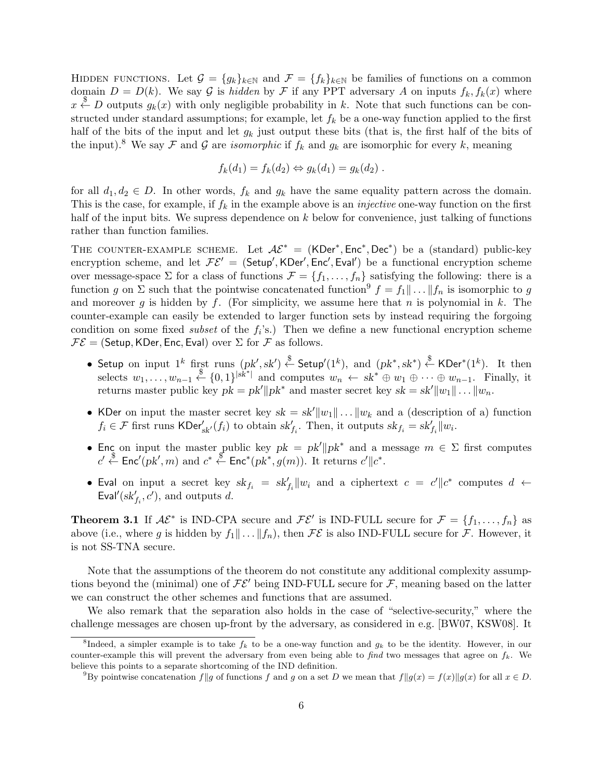HIDDEN FUNCTIONS. Let  $\mathcal{G} = \{g_k\}_{k\in\mathbb{N}}$  and  $\mathcal{F} = \{f_k\}_{k\in\mathbb{N}}$  be families of functions on a common domain  $D = D(k)$ . We say G is *hidden* by F if any PPT adversary A on inputs  $f_k, f_k(x)$  where  $x \stackrel{\$}{\leftarrow} D$  outputs  $g_k(x)$  with only negligible probability in *k*. Note that such functions can be constructed under standard assumptions; for example, let *f<sup>k</sup>* be a one-way function applied to the first half of the bits of the input and let *g<sup>k</sup>* just output these bits (that is, the first half of the bits of the input).<sup>8</sup> We say  $\mathcal F$  and  $\mathcal G$  are *isomorphic* if  $f_k$  and  $g_k$  are isomorphic for every  $k$ , meaning

$$
f_k(d_1) = f_k(d_2) \Leftrightarrow g_k(d_1) = g_k(d_2) .
$$

for all  $d_1, d_2 \in D$ . In other words,  $f_k$  and  $g_k$  have the same equality pattern across the domain. This is the case, for example, if  $f_k$  in the example above is an *injective* one-way function on the first half of the input bits. We supress dependence on *k* below for convenience, just talking of functions rather than function families.

THE COUNTER-EXAMPLE SCHEME. Let  $A\mathcal{E}^* = (KDer^*, Enc^*, Dec^*)$  be a (standard) public-key encryption scheme, and let  $\mathcal{FE}' = (\mathsf{Setup}'', \mathsf{KDer}', \mathsf{Enc}', \mathsf{Eval}')$  be a functional encryption scheme over message-space  $\Sigma$  for a class of functions  $\mathcal{F} = \{f_1, \ldots, f_n\}$  satisfying the following: there is a function *g* on  $\Sigma$  such that the pointwise concatenated function<sup>9</sup>  $f = f_1 || \dots || f_n$  is isomorphic to *g* and moreover *g* is hidden by *f*. (For simplicity, we assume here that *n* is polynomial in *k*. The counter-example can easily be extended to larger function sets by instead requiring the forgoing condition on some fixed *subset* of the  $f_i$ 's.) Then we define a new functional encryption scheme  $\mathcal{FE} =$  (Setup, KDer, Enc, Eval) over  $\Sigma$  for  $\mathcal F$  as follows.

- Setup on input  $1^k$  first runs  $(pk', sk') \stackrel{\$}{\leftarrow}$  Setup'(1k), and  $(pk^*, sk^*) \stackrel{\$}{\leftarrow}$  KDer\*(1k). It then selects  $w_1, \ldots, w_{n-1} \stackrel{\$}{\leftarrow} \{0,1\}^{|s\mathbf{k}^*|}$  and computes  $w_n \leftarrow s\mathbf{k}^* \oplus w_1 \oplus \cdots \oplus w_{n-1}$ . Finally, it returns master public key  $pk = pk'||pk^*$  and master secret key  $sk = sk'||w_1|| \dots ||w_n$ .
- KDer on input the master secret key  $sk = sk' ||w_1|| \dots ||w_k$  and a (description of a) function  $f_i \in \mathcal{F}$  first runs KDer $s'_{sk'}(f_i)$  to obtain  $sk'_{f_i}$ . Then, it outputs  $sk_{f_i} = sk'_{f_i} || w_i$ .
- Enc on input the master public key  $pk = pk'|pk^*$  and a message  $m \in \Sigma$  first computes  $c' \stackrel{\$}{\leftarrow} \mathsf{Enc}'(pk', m)$  and  $c^* \stackrel{\$}{\leftarrow} \mathsf{Enc}^*(pk^*, g(m))$ . It returns  $c'$  /*||c*<sup>\*</sup>.
- Eval on input a secret key  $sk_{f_i} = sk'_{f_i} || w_i$  and a ciphertext  $c = c' || c^*$  computes  $d \leftarrow$ Eval<sup> $\prime$ </sup>( $sk'_{f_i}, c'$ ), and outputs *d*.

**Theorem 3.1** If  $A\mathcal{E}^*$  is IND-CPA secure and  $\mathcal{F}\mathcal{E}'$  is IND-FULL secure for  $\mathcal{F} = \{f_1, \ldots, f_n\}$  as above (i.e., where *g* is hidden by  $f_1 \| \dots \| f_n$ ), then  $\mathcal{FE}$  is also IND-FULL secure for  $\mathcal{F}$ . However, it is not SS-TNA secure.

Note that the assumptions of the theorem do not constitute any additional complexity assumptions beyond the (minimal) one of  $\mathcal{FE}'$  being IND-FULL secure for  $\mathcal{F}$ , meaning based on the latter we can construct the other schemes and functions that are assumed.

We also remark that the separation also holds in the case of "selective-security," where the challenge messages are chosen up-front by the adversary, as considered in e.g. [BW07, KSW08]. It

<sup>&</sup>lt;sup>8</sup>Indeed, a simpler example is to take  $f_k$  to be a one-way function and  $g_k$  to be the identity. However, in our counter-example this will prevent the adversary from even being able to *find* two messages that agree on  $f_k$ . We believe this points to a separate shortcoming of the IND definition.

<sup>&</sup>lt;sup>9</sup>By pointwise concatenation  $f||g$  of functions f and g on a set D we mean that  $f||g(x) = f(x)||g(x)$  for all  $x \in D$ .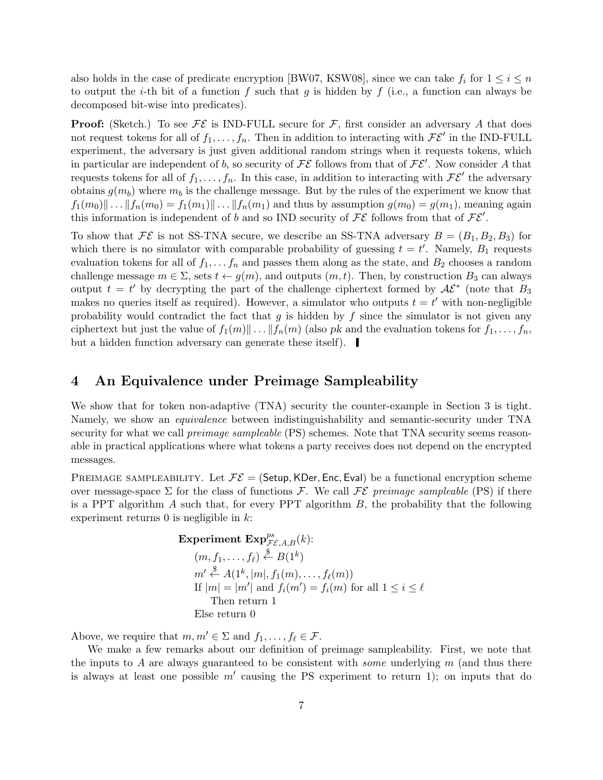also holds in the case of predicate encryption [BW07, KSW08], since we can take  $f_i$  for  $1 \leq i \leq n$ to output the *i*-th bit of a function  $f$  such that  $g$  is hidden by  $f$  (i.e., a function can always be decomposed bit-wise into predicates).

**Proof:** (Sketch.) To see  $\mathcal{FE}$  is IND-FULL secure for  $\mathcal{F}$ , first consider an adversary *A* that does not request tokens for all of  $f_1, \ldots, f_n$ . Then in addition to interacting with  $\mathcal{FE}'$  in the IND-FULL experiment, the adversary is just given additional random strings when it requests tokens, which in particular are independent of *b*, so security of *FE* follows from that of *FE′* . Now consider *A* that requests tokens for all of  $f_1, \ldots, f_n$ . In this case, in addition to interacting with  $\mathcal{FE}'$  the adversary obtains  $g(m_b)$  where  $m_b$  is the challenge message. But by the rules of the experiment we know that  $f_1(m_0)|| \dots ||f_n(m_0) = f_1(m_1)|| \dots ||f_n(m_1)$  and thus by assumption  $g(m_0) = g(m_1)$ , meaning again this information is independent of *b* and so IND security of  $\mathcal{FE}$  follows from that of  $\mathcal{FE}'$ .

To show that  $\mathcal{FE}$  is not SS-TNA secure, we describe an SS-TNA adversary  $B = (B_1, B_2, B_3)$  for which there is no simulator with comparable probability of guessing  $t = t'$ . Namely,  $B_1$  requests evaluation tokens for all of  $f_1, \ldots, f_n$  and passes them along as the state, and  $B_2$  chooses a random challenge message  $m \in \Sigma$ , sets  $t \leftarrow g(m)$ , and outputs  $(m, t)$ . Then, by construction  $B_3$  can always output  $t = t'$  by decrypting the part of the challenge ciphertext formed by  $A\mathcal{E}^*$  (note that  $B_3$ ) makes no queries itself as required). However, a simulator who outputs  $t = t'$  with non-negligible probability would contradict the fact that *g* is hidden by *f* since the simulator is not given any ciphertext but just the value of  $f_1(m)$   $\ldots$   $||f_n(m)$  (also *pk* and the evaluation tokens for  $f_1, \ldots, f_n$ , but a hidden function adversary can generate these itself).

### **4 An Equivalence under Preimage Sampleability**

We show that for token non-adaptive (TNA) security the counter-example in Section 3 is tight. Namely, we show an *equivalence* between indistinguishability and semantic-security under TNA security for what we call *preimage sampleable* (PS) schemes. Note that TNA security seems reasonable in practical applications where what tokens a party receives does not depend on the encrypted messages.

PREIMAGE SAMPLEABILITY. Let  $\mathcal{FE} =$  (Setup, KDer, Enc, Eval) be a functional encryption scheme over message-space  $\Sigma$  for the class of functions *F*. We call *FE preimage sampleable* (PS) if there is a PPT algorithm *A* such that, for every PPT algorithm *B*, the probability that the following experiment returns 0 is negligible in *k*:

**Experiment Exp**<sub>*FE, A, B*</sub><sup>*ps*</sup>  
\n
$$
(m, f_1, \ldots, f_\ell) \overset{\$}{\leftarrow} B(1^k)
$$
  
\n $m' \overset{\$}{\leftarrow} A(1^k, |m|, f_1(m), \ldots, f_\ell(m))$   
\nIf  $|m| = |m'|$  and  $f_i(m') = f_i(m)$  for all  $1 \leq i \leq \ell$   
\nThen return 1  
\nElse return 0

Above, we require that  $m, m' \in \Sigma$  and  $f_1, \ldots, f_\ell \in \mathcal{F}$ .

We make a few remarks about our definition of preimage sampleability. First, we note that the inputs to *A* are always guaranteed to be consistent with *some* underlying *m* (and thus there is always at least one possible *m′* causing the PS experiment to return 1); on inputs that do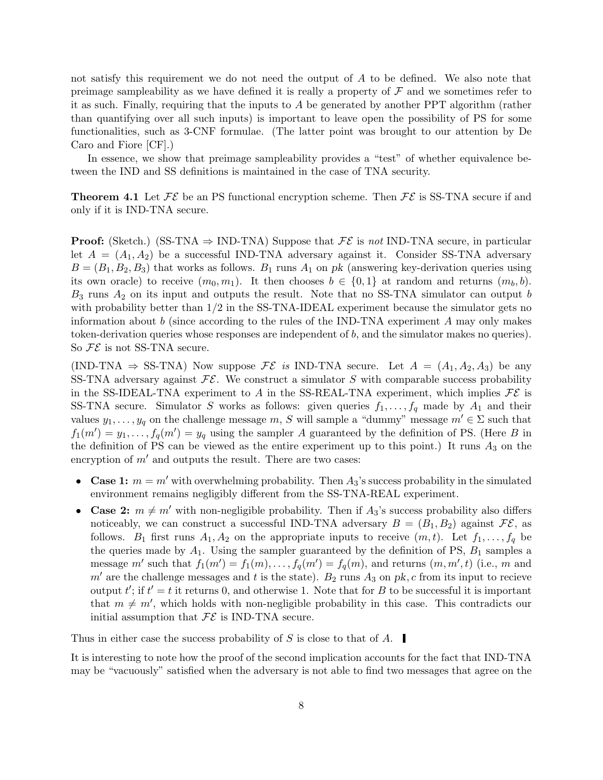not satisfy this requirement we do not need the output of *A* to be defined. We also note that preimage sampleability as we have defined it is really a property of *F* and we sometimes refer to it as such. Finally, requiring that the inputs to *A* be generated by another PPT algorithm (rather than quantifying over all such inputs) is important to leave open the possibility of PS for some functionalities, such as 3-CNF formulae. (The latter point was brought to our attention by De Caro and Fiore [CF].)

In essence, we show that preimage sampleability provides a "test" of whether equivalence between the IND and SS definitions is maintained in the case of TNA security.

**Theorem 4.1** Let  $\mathcal{FE}$  be an PS functional encryption scheme. Then  $\mathcal{FE}$  is SS-TNA secure if and only if it is IND-TNA secure.

**Proof:** (Sketch.) (SS-TNA  $\Rightarrow$  IND-TNA) Suppose that  $\mathcal{FE}$  is *not* IND-TNA secure, in particular let  $A = (A_1, A_2)$  be a successful IND-TNA adversary against it. Consider SS-TNA adversary  $B = (B_1, B_2, B_3)$  that works as follows.  $B_1$  runs  $A_1$  on *pk* (answering key-derivation queries using its own oracle) to receive  $(m_0, m_1)$ . It then chooses  $b \in \{0, 1\}$  at random and returns  $(m_b, b)$ . *B*<sup>3</sup> runs *A*<sup>2</sup> on its input and outputs the result. Note that no SS-TNA simulator can output *b* with probability better than  $1/2$  in the SS-TNA-IDEAL experiment because the simulator gets no information about *b* (since according to the rules of the IND-TNA experiment *A* may only makes token-derivation queries whose responses are independent of *b*, and the simulator makes no queries). So  $FE$  is not SS-TNA secure.

(IND-TNA  $\Rightarrow$  SS-TNA) Now suppose  $\mathcal{FE}$  *is* IND-TNA secure. Let  $A = (A_1, A_2, A_3)$  be any SS-TNA adversary against  $\mathcal{FE}$ . We construct a simulator *S* with comparable success probability in the SS-IDEAL-TNA experiment to *A* in the SS-REAL-TNA experiment, which implies  $FE$  is SS-TNA secure. Simulator *S* works as follows: given queries  $f_1, \ldots, f_q$  made by  $A_1$  and their values  $y_1, \ldots, y_q$  on the challenge message  $m$ , *S* will sample a "dummy" message  $m' \in \Sigma$  such that  $f_1(m') = y_1, \ldots, f_q(m') = y_q$  using the sampler *A* guaranteed by the definition of PS. (Here *B* in the definition of PS can be viewed as the entire experiment up to this point.) It runs  $A_3$  on the encryption of  $m'$  and outputs the result. There are two cases:

- **Case 1:**  $m = m'$  with overwhelming probability. Then  $A_3$ 's success probability in the simulated environment remains negligibly different from the SS-TNA-REAL experiment.
- **Case 2:**  $m \neq m'$  with non-negligible probability. Then if  $A_3$ 's success probability also differs noticeably, we can construct a successful IND-TNA adversary  $B = (B_1, B_2)$  against  $\mathcal{FE}$ , as follows.  $B_1$  first runs  $A_1, A_2$  on the appropriate inputs to receive  $(m, t)$ . Let  $f_1, \ldots, f_q$  be the queries made by  $A_1$ . Using the sampler guaranteed by the definition of PS,  $B_1$  samples a message m' such that  $f_1(m') = f_1(m), \ldots, f_q(m') = f_q(m)$ , and returns  $(m, m', t)$  (i.e., m and  $m'$  are the challenge messages and t is the state).  $B_2$  runs  $A_3$  on  $pk$ , c from its input to recieve output  $t'$ ; if  $t' = t$  it returns 0, and otherwise 1. Note that for *B* to be successful it is important that  $m \neq m'$ , which holds with non-negligible probability in this case. This contradicts our initial assumption that  $\mathcal{FE}$  is IND-TNA secure.

Thus in either case the success probability of *S* is close to that of *A*.

It is interesting to note how the proof of the second implication accounts for the fact that IND-TNA may be "vacuously" satisfied when the adversary is not able to find two messages that agree on the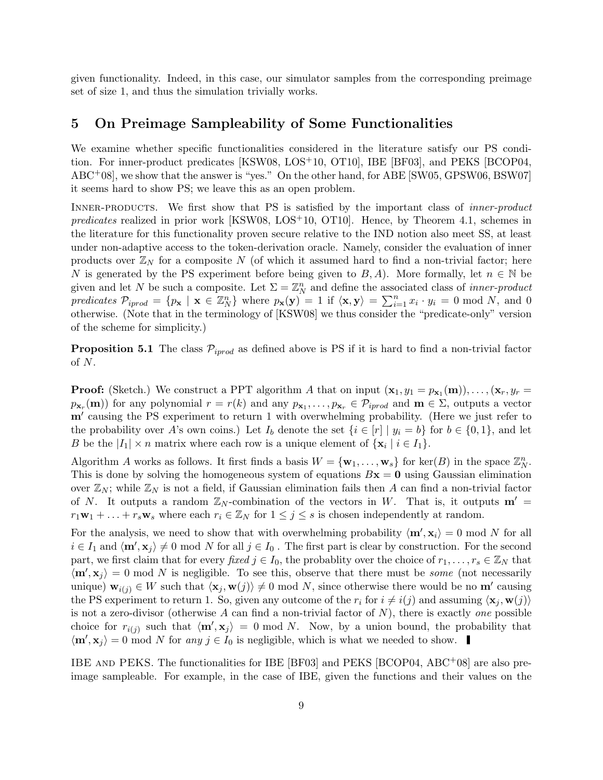given functionality. Indeed, in this case, our simulator samples from the corresponding preimage set of size 1, and thus the simulation trivially works.

### **5 On Preimage Sampleability of Some Functionalities**

We examine whether specific functionalities considered in the literature satisfy our PS condition. For inner-product predicates [KSW08, LOS+10, OT10], IBE [BF03], and PEKS [BCOP04, ABC+08], we show that the answer is "yes." On the other hand, for ABE [SW05, GPSW06, BSW07] it seems hard to show PS; we leave this as an open problem.

Inner-products. We first show that PS is satisfied by the important class of *inner-product predicates* realized in prior work [KSW08, LOS<sup>+</sup>10, OT10]. Hence, by Theorem 4.1, schemes in the literature for this functionality proven secure relative to the IND notion also meet SS, at least under non-adaptive access to the token-derivation oracle. Namely, consider the evaluation of inner products over  $\mathbb{Z}_N$  for a composite N (of which it assumed hard to find a non-trivial factor; here *N* is generated by the PS experiment before being given to *B, A*). More formally, let  $n \in \mathbb{N}$  be given and let *N* be such a composite. Let  $\Sigma = \mathbb{Z}_N^n$  and define the associated class of *inner-product* predicates  $\mathcal{P}_{iprod} = \{p_{\mathbf{x}} \mid \mathbf{x} \in \mathbb{Z}_{N}^{n}\}\$  where  $p_{\mathbf{x}}(\mathbf{y}) = 1$  if  $\langle \mathbf{x}, \mathbf{y} \rangle = \sum_{i=1}^{n} x_i \cdot y_i = 0 \mod N$ , and 0 otherwise. (Note that in the terminology of [KSW08] we thus consider the "predicate-only" version of the scheme for simplicity.)

**Proposition 5.1** The class  $P_{iprod}$  as defined above is PS if it is hard to find a non-trivial factor of *N*.

**Proof:** (Sketch.) We construct a PPT algorithm *A* that on input  $(\mathbf{x}_1, y_1 = p_{\mathbf{x}_1}(\mathbf{m}))$ , ...,  $(\mathbf{x}_r, y_r =$  $p_{\mathbf{x}_r}(\mathbf{m})$  for any polynomial  $r = r(k)$  and any  $p_{\mathbf{x}_1}, \ldots, p_{\mathbf{x}_r} \in \mathcal{P}_{iprod}$  and  $\mathbf{m} \in \Sigma$ , outputs a vector **m***′* causing the PS experiment to return 1 with overwhelming probability. (Here we just refer to the probability over *A*'s own coins.) Let  $I_b$  denote the set  $\{i \in [r] \mid y_i = b\}$  for  $b \in \{0, 1\}$ , and let *B* be the  $|I_1| \times n$  matrix where each row is a unique element of  $\{x_i \mid i \in I_1\}$ .

Algorithm *A* works as follows. It first finds a basis  $W = {\mathbf{w}_1, \dots, \mathbf{w}_s}$  for ker(*B*) in the space  $\mathbb{Z}_N^n$ . This is done by solving the homogeneous system of equations  $Bx = 0$  using Gaussian elimination over  $\mathbb{Z}_N$ ; while  $\mathbb{Z}_N$  is not a field, if Gaussian elimination fails then A can find a non-trivial factor of *N*. It outputs a random  $\mathbb{Z}_N$ -combination of the vectors in W. That is, it outputs  $\mathbf{m}' =$  $r_1 \mathbf{w}_1 + \ldots + r_s \mathbf{w}_s$  where each  $r_i \in \mathbb{Z}_N$  for  $1 \leq j \leq s$  is chosen independently at random.

For the analysis, we need to show that with overwhelming probability  $\langle \mathbf{m}', \mathbf{x}_i \rangle = 0 \text{ mod } N$  for all  $i \in I_1$  and  $\langle \mathbf{m}', \mathbf{x}_j \rangle \neq 0$  mod *N* for all  $j \in I_0$ . The first part is clear by construction. For the second part, we first claim that for every *fixed*  $j \in I_0$ , the probablity over the choice of  $r_1, \ldots, r_s \in \mathbb{Z}_N$  that  $\langle \mathbf{m}', \mathbf{x}_j \rangle = 0$  mod *N* is negligible. To see this, observe that there must be *some* (not necessarily unique)  $\mathbf{w}_{i(j)} \in W$  such that  $\langle \mathbf{x}_j, \mathbf{w}(j) \rangle \neq 0 \text{ mod } N$ , since otherwise there would be no  $\mathbf{m}'$  causing the PS experiment to return 1. So, given any outcome of the  $r_i$  for  $i \neq i(j)$  and assuming  $\langle \mathbf{x}_i, \mathbf{w}(j) \rangle$ is not a zero-divisor (otherwise *A* can find a non-trivial factor of *N*), there is exactly *one* possible choice for  $r_{i(j)}$  such that  $\langle \mathbf{m}', \mathbf{x}_j \rangle = 0 \text{ mod } N$ . Now, by a union bound, the probability that  $\langle \mathbf{m}', \mathbf{x}_j \rangle = 0$  mod *N* for *any*  $j \in I_0$  is negligible, which is what we needed to show.

IBE and PEKS. The functionalities for IBE [BF03] and PEKS [BCOP04, ABC+08] are also preimage sampleable. For example, in the case of IBE, given the functions and their values on the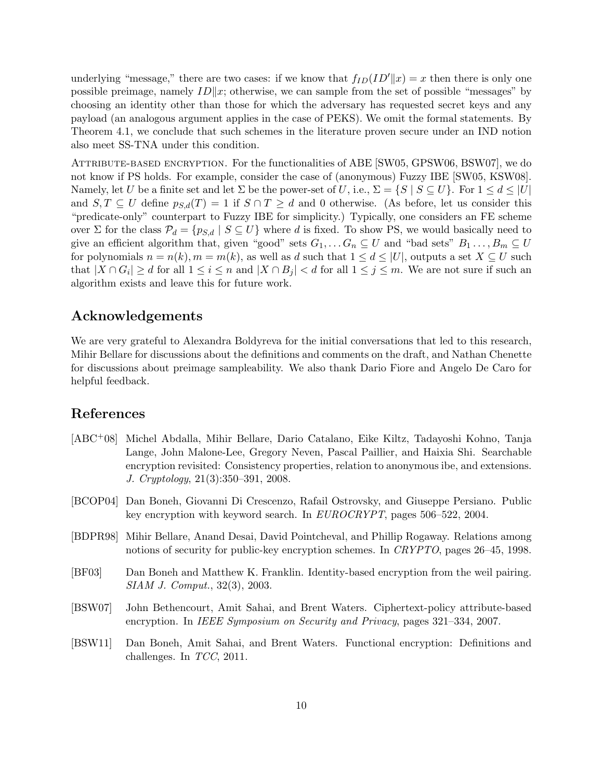underlying "message," there are two cases: if we know that  $f_{ID}(ID'|x) = x$  then there is only one possible preimage, namely *ID∥x*; otherwise, we can sample from the set of possible "messages" by choosing an identity other than those for which the adversary has requested secret keys and any payload (an analogous argument applies in the case of PEKS). We omit the formal statements. By Theorem 4.1, we conclude that such schemes in the literature proven secure under an IND notion also meet SS-TNA under this condition.

Attribute-based encryption. For the functionalities of ABE [SW05, GPSW06, BSW07], we do not know if PS holds. For example, consider the case of (anonymous) Fuzzy IBE [SW05, KSW08]. Namely, let *U* be a finite set and let  $\Sigma$  be the power-set of *U*, i.e.,  $\Sigma = \{S \mid S \subseteq U\}$ . For  $1 \leq d \leq |U|$ and  $S, T \subseteq U$  define  $p_{S,d}(T) = 1$  if  $S \cap T \geq d$  and 0 otherwise. (As before, let us consider this "predicate-only" counterpart to Fuzzy IBE for simplicity.) Typically, one considers an FE scheme over  $\Sigma$  for the class  $\mathcal{P}_d = \{p_{S,d} | S \subseteq U\}$  where *d* is fixed. To show PS, we would basically need to give an efficient algorithm that, given "good" sets  $G_1, \ldots, G_n \subseteq U$  and "bad sets"  $B_1, \ldots, B_m \subseteq U$ for polynomials  $n = n(k)$ ,  $m = m(k)$ , as well as *d* such that  $1 \leq d \leq |U|$ , outputs a set  $X \subseteq U$  such that  $|X \cap G_i| \ge d$  for all  $1 \le i \le n$  and  $|X \cap B_j| < d$  for all  $1 \le j \le m$ . We are not sure if such an algorithm exists and leave this for future work.

# **Acknowledgements**

We are very grateful to Alexandra Boldyreva for the initial conversations that led to this research, Mihir Bellare for discussions about the definitions and comments on the draft, and Nathan Chenette for discussions about preimage sampleability. We also thank Dario Fiore and Angelo De Caro for helpful feedback.

### **References**

- [ABC+08] Michel Abdalla, Mihir Bellare, Dario Catalano, Eike Kiltz, Tadayoshi Kohno, Tanja Lange, John Malone-Lee, Gregory Neven, Pascal Paillier, and Haixia Shi. Searchable encryption revisited: Consistency properties, relation to anonymous ibe, and extensions. *J. Cryptology*, 21(3):350–391, 2008.
- [BCOP04] Dan Boneh, Giovanni Di Crescenzo, Rafail Ostrovsky, and Giuseppe Persiano. Public key encryption with keyword search. In *EUROCRYPT*, pages 506–522, 2004.
- [BDPR98] Mihir Bellare, Anand Desai, David Pointcheval, and Phillip Rogaway. Relations among notions of security for public-key encryption schemes. In *CRYPTO*, pages 26–45, 1998.
- [BF03] Dan Boneh and Matthew K. Franklin. Identity-based encryption from the weil pairing. *SIAM J. Comput.*, 32(3), 2003.
- [BSW07] John Bethencourt, Amit Sahai, and Brent Waters. Ciphertext-policy attribute-based encryption. In *IEEE Symposium on Security and Privacy*, pages 321–334, 2007.
- [BSW11] Dan Boneh, Amit Sahai, and Brent Waters. Functional encryption: Definitions and challenges. In *TCC*, 2011.